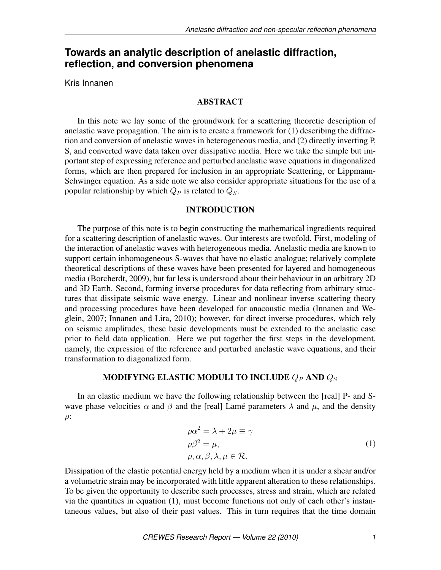# **Towards an analytic description of anelastic diffraction, reflection, and conversion phenomena**

Kris Innanen

# ABSTRACT

In this note we lay some of the groundwork for a scattering theoretic description of anelastic wave propagation. The aim is to create a framework for (1) describing the diffraction and conversion of anelastic waves in heterogeneous media, and (2) directly inverting P, S, and converted wave data taken over dissipative media. Here we take the simple but important step of expressing reference and perturbed anelastic wave equations in diagonalized forms, which are then prepared for inclusion in an appropriate Scattering, or Lippmann-Schwinger equation. As a side note we also consider appropriate situations for the use of a popular relationship by which  $Q_P$  is related to  $Q_S$ .

## INTRODUCTION

The purpose of this note is to begin constructing the mathematical ingredients required for a scattering description of anelastic waves. Our interests are twofold. First, modeling of the interaction of anelastic waves with heterogeneous media. Anelastic media are known to support certain inhomogeneous S-waves that have no elastic analogue; relatively complete theoretical descriptions of these waves have been presented for layered and homogeneous media (Borcherdt, 2009), but far less is understood about their behaviour in an arbitrary 2D and 3D Earth. Second, forming inverse procedures for data reflecting from arbitrary structures that dissipate seismic wave energy. Linear and nonlinear inverse scattering theory and processing procedures have been developed for anacoustic media (Innanen and Weglein, 2007; Innanen and Lira, 2010); however, for direct inverse procedures, which rely on seismic amplitudes, these basic developments must be extended to the anelastic case prior to field data application. Here we put together the first steps in the development, namely, the expression of the reference and perturbed anelastic wave equations, and their transformation to diagonalized form.

# MODIFYING ELASTIC MODULI TO INCLUDE  $Q_P$  and  $Q_S$

In an elastic medium we have the following relationship between the [real] P- and Swave phase velocities  $\alpha$  and  $\beta$  and the [real] Lamé parameters  $\lambda$  and  $\mu$ , and the density  $\rho$ :

$$
\rho \alpha^2 = \lambda + 2\mu \equiv \gamma
$$
  
\n
$$
\rho \beta^2 = \mu,
$$
  
\n
$$
\rho, \alpha, \beta, \lambda, \mu \in \mathcal{R}.
$$
  
\n(1)

Dissipation of the elastic potential energy held by a medium when it is under a shear and/or a volumetric strain may be incorporated with little apparent alteration to these relationships. To be given the opportunity to describe such processes, stress and strain, which are related via the quantities in equation (1), must become functions not only of each other's instantaneous values, but also of their past values. This in turn requires that the time domain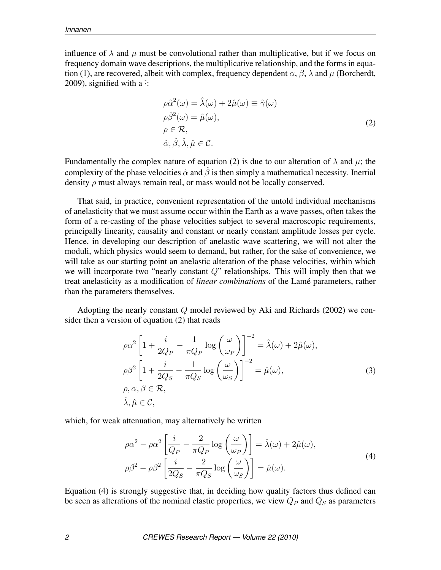influence of  $\lambda$  and  $\mu$  must be convolutional rather than multiplicative, but if we focus on frequency domain wave descriptions, the multiplicative relationship, and the forms in equation (1), are recovered, albeit with complex, frequency dependent  $\alpha$ ,  $\beta$ ,  $\lambda$  and  $\mu$  (Borcherdt, 2009), signified with a  $\hat{ }$ :

$$
\rho \hat{\alpha}^{2}(\omega) = \hat{\lambda}(\omega) + 2\hat{\mu}(\omega) \equiv \hat{\gamma}(\omega)
$$
  
\n
$$
\rho \hat{\beta}^{2}(\omega) = \hat{\mu}(\omega),
$$
  
\n
$$
\rho \in \mathcal{R},
$$
  
\n
$$
\hat{\alpha}, \hat{\beta}, \hat{\lambda}, \hat{\mu} \in \mathcal{C}.
$$
\n(2)

Fundamentally the complex nature of equation (2) is due to our alteration of  $\lambda$  and  $\mu$ ; the complexity of the phase velocities  $\hat{\alpha}$  and  $\hat{\beta}$  is then simply a mathematical necessity. Inertial density  $\rho$  must always remain real, or mass would not be locally conserved.

That said, in practice, convenient representation of the untold individual mechanisms of anelasticity that we must assume occur within the Earth as a wave passes, often takes the form of a re-casting of the phase velocities subject to several macroscopic requirements, principally linearity, causality and constant or nearly constant amplitude losses per cycle. Hence, in developing our description of anelastic wave scattering, we will not alter the moduli, which physics would seem to demand, but rather, for the sake of convenience, we will take as our starting point an anelastic alteration of the phase velocities, within which we will incorporate two "nearly constant  $Q$ " relationships. This will imply then that we treat anelasticity as a modification of *linear combinations* of the Lamé parameters, rather than the parameters themselves.

Adopting the nearly constant  $Q$  model reviewed by Aki and Richards (2002) we consider then a version of equation (2) that reads

$$
\rho \alpha^2 \left[ 1 + \frac{i}{2Q_P} - \frac{1}{\pi Q_P} \log \left( \frac{\omega}{\omega_P} \right) \right]^{-2} = \hat{\lambda}(\omega) + 2\hat{\mu}(\omega),
$$
  
\n
$$
\rho \beta^2 \left[ 1 + \frac{i}{2Q_S} - \frac{1}{\pi Q_S} \log \left( \frac{\omega}{\omega_S} \right) \right]^{-2} = \hat{\mu}(\omega),
$$
  
\n
$$
\rho, \alpha, \beta \in \mathcal{R},
$$
  
\n
$$
\hat{\lambda}, \hat{\mu} \in \mathcal{C},
$$
\n(3)

which, for weak attenuation, may alternatively be written

$$
\rho \alpha^2 - \rho \alpha^2 \left[ \frac{i}{Q_P} - \frac{2}{\pi Q_P} \log \left( \frac{\omega}{\omega_P} \right) \right] = \hat{\lambda}(\omega) + 2\hat{\mu}(\omega),
$$
  

$$
\rho \beta^2 - \rho \beta^2 \left[ \frac{i}{2Q_S} - \frac{2}{\pi Q_S} \log \left( \frac{\omega}{\omega_S} \right) \right] = \hat{\mu}(\omega).
$$
 (4)

Equation (4) is strongly suggestive that, in deciding how quality factors thus defined can be seen as alterations of the nominal elastic properties, we view  $Q_P$  and  $Q_S$  as parameters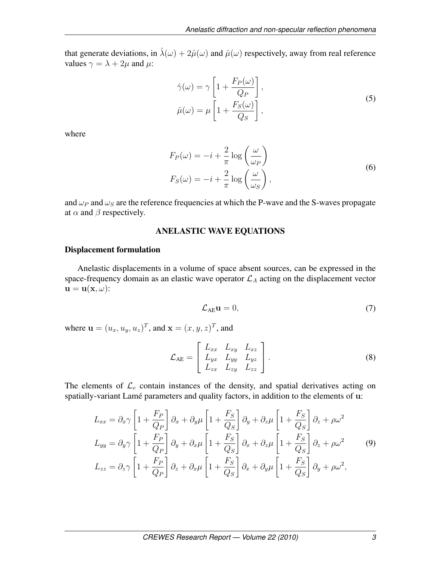that generate deviations, in  $\hat{\lambda}(\omega) + 2\hat{\mu}(\omega)$  and  $\hat{\mu}(\omega)$  respectively, away from real reference values  $\gamma = \lambda + 2\mu$  and  $\mu$ :

$$
\hat{\gamma}(\omega) = \gamma \left[ 1 + \frac{F_P(\omega)}{Q_P} \right],
$$
  
\n
$$
\hat{\mu}(\omega) = \mu \left[ 1 + \frac{F_S(\omega)}{Q_S} \right],
$$
\n(5)

where

$$
F_P(\omega) = -i + \frac{2}{\pi} \log \left( \frac{\omega}{\omega_P} \right)
$$
  
\n
$$
F_S(\omega) = -i + \frac{2}{\pi} \log \left( \frac{\omega}{\omega_S} \right),
$$
\n(6)

and  $\omega_P$  and  $\omega_S$  are the reference frequencies at which the P-wave and the S-waves propagate at  $\alpha$  and  $\beta$  respectively.

### ANELASTIC WAVE EQUATIONS

### Displacement formulation

Anelastic displacements in a volume of space absent sources, can be expressed in the space-frequency domain as an elastic wave operator  $\mathcal{L}_A$  acting on the displacement vector  $\mathbf{u} = \mathbf{u}(\mathbf{x}, \omega)$ :

$$
\mathcal{L}_{AE} \mathbf{u} = 0,\tag{7}
$$

where  $\mathbf{u} = (u_x, u_y, u_z)^T$ , and  $\mathbf{x} = (x, y, z)^T$ , and

$$
\mathcal{L}_{AE} = \left[ \begin{array}{ccc} L_{xx} & L_{xy} & L_{xz} \\ L_{yx} & L_{yy} & L_{yz} \\ L_{zx} & L_{zy} & L_{zz} \end{array} \right]. \tag{8}
$$

The elements of  $\mathcal{L}_e$  contain instances of the density, and spatial derivatives acting on spatially-variant Lamé parameters and quality factors, in addition to the elements of u:

$$
L_{xx} = \partial_x \gamma \left[ 1 + \frac{F_P}{Q_P} \right] \partial_x + \partial_y \mu \left[ 1 + \frac{F_S}{Q_S} \right] \partial_y + \partial_z \mu \left[ 1 + \frac{F_S}{Q_S} \right] \partial_z + \rho \omega^2
$$
  
\n
$$
L_{yy} = \partial_y \gamma \left[ 1 + \frac{F_P}{Q_P} \right] \partial_y + \partial_x \mu \left[ 1 + \frac{F_S}{Q_S} \right] \partial_x + \partial_z \mu \left[ 1 + \frac{F_S}{Q_S} \right] \partial_z + \rho \omega^2
$$
  
\n
$$
L_{zz} = \partial_z \gamma \left[ 1 + \frac{F_P}{Q_P} \right] \partial_z + \partial_x \mu \left[ 1 + \frac{F_S}{Q_S} \right] \partial_x + \partial_y \mu \left[ 1 + \frac{F_S}{Q_S} \right] \partial_y + \rho \omega^2,
$$
  
\n(9)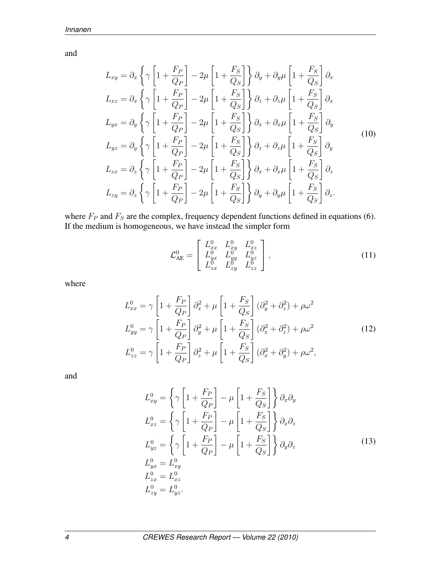and

$$
L_{xy} = \partial_x \left\{ \gamma \left[ 1 + \frac{F_P}{Q_P} \right] - 2\mu \left[ 1 + \frac{F_S}{Q_S} \right] \right\} \partial_y + \partial_y \mu \left[ 1 + \frac{F_S}{Q_S} \right] \partial_x
$$
  
\n
$$
L_{xz} = \partial_x \left\{ \gamma \left[ 1 + \frac{F_P}{Q_P} \right] - 2\mu \left[ 1 + \frac{F_S}{Q_S} \right] \right\} \partial_z + \partial_z \mu \left[ 1 + \frac{F_S}{Q_S} \right] \partial_x
$$
  
\n
$$
L_{yx} = \partial_y \left\{ \gamma \left[ 1 + \frac{F_P}{Q_P} \right] - 2\mu \left[ 1 + \frac{F_S}{Q_S} \right] \right\} \partial_x + \partial_x \mu \left[ 1 + \frac{F_S}{Q_S} \right] \partial_y
$$
  
\n
$$
L_{yz} = \partial_y \left\{ \gamma \left[ 1 + \frac{F_P}{Q_P} \right] - 2\mu \left[ 1 + \frac{F_S}{Q_S} \right] \right\} \partial_z + \partial_z \mu \left[ 1 + \frac{F_S}{Q_S} \right] \partial_y
$$
  
\n
$$
L_{zx} = \partial_z \left\{ \gamma \left[ 1 + \frac{F_P}{Q_P} \right] - 2\mu \left[ 1 + \frac{F_S}{Q_S} \right] \right\} \partial_x + \partial_x \mu \left[ 1 + \frac{F_S}{Q_S} \right] \partial_z
$$
  
\n
$$
L_{zy} = \partial_z \left\{ \gamma \left[ 1 + \frac{F_P}{Q_P} \right] - 2\mu \left[ 1 + \frac{F_S}{Q_S} \right] \right\} \partial_y + \partial_y \mu \left[ 1 + \frac{F_S}{Q_S} \right] \partial_z.
$$
  
\n(10)

where  $F_P$  and  $F_S$  are the complex, frequency dependent functions defined in equations (6). If the medium is homogeneous, we have instead the simpler form

$$
\mathcal{L}_{AE}^{0} = \begin{bmatrix} L_{xx}^{0} & L_{xy}^{0} & L_{xz}^{0} \\ L_{yx}^{0} & L_{yy}^{0} & L_{yz}^{0} \\ L_{zx}^{0} & L_{zy}^{0} & L_{zz}^{0} \end{bmatrix},
$$
(11)

where

$$
L_{xx}^{0} = \gamma \left[ 1 + \frac{F_P}{Q_P} \right] \partial_x^2 + \mu \left[ 1 + \frac{F_S}{Q_S} \right] (\partial_y^2 + \partial_z^2) + \rho \omega^2
$$
  
\n
$$
L_{yy}^{0} = \gamma \left[ 1 + \frac{F_P}{Q_P} \right] \partial_y^2 + \mu \left[ 1 + \frac{F_S}{Q_S} \right] (\partial_x^2 + \partial_z^2) + \rho \omega^2
$$
  
\n
$$
L_{zz}^{0} = \gamma \left[ 1 + \frac{F_P}{Q_P} \right] \partial_z^2 + \mu \left[ 1 + \frac{F_S}{Q_S} \right] (\partial_x^2 + \partial_y^2) + \rho \omega^2,
$$
\n(12)

and

$$
L_{xy}^{0} = \left\{\gamma \left[1 + \frac{F_P}{Q_P}\right] - \mu \left[1 + \frac{F_S}{Q_S}\right]\right\} \partial_x \partial_y
$$
  
\n
$$
L_{xz}^{0} = \left\{\gamma \left[1 + \frac{F_P}{Q_P}\right] - \mu \left[1 + \frac{F_S}{Q_S}\right]\right\} \partial_x \partial_z
$$
  
\n
$$
L_{yz}^{0} = \left\{\gamma \left[1 + \frac{F_P}{Q_P}\right] - \mu \left[1 + \frac{F_S}{Q_S}\right]\right\} \partial_y \partial_z
$$
  
\n
$$
L_{yx}^{0} = L_{xy}^{0}
$$
  
\n
$$
L_{zx}^{0} = L_{xz}^{0}
$$
  
\n
$$
L_{zy}^{0} = L_{yz}^{0}
$$
  
\n(13)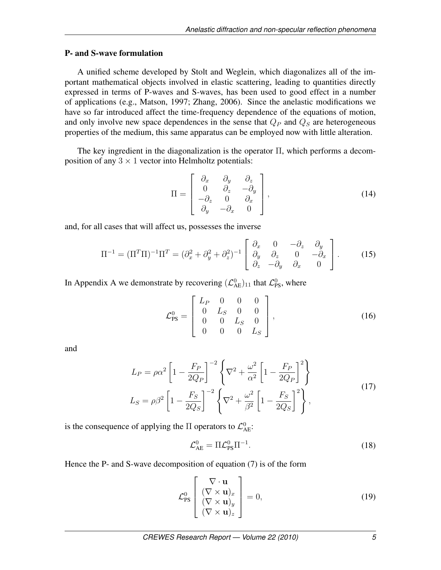### P- and S-wave formulation

A unified scheme developed by Stolt and Weglein, which diagonalizes all of the important mathematical objects involved in elastic scattering, leading to quantities directly expressed in terms of P-waves and S-waves, has been used to good effect in a number of applications (e.g., Matson, 1997; Zhang, 2006). Since the anelastic modifications we have so far introduced affect the time-frequency dependence of the equations of motion, and only involve new space dependences in the sense that  $Q_P$  and  $Q_S$  are heterogeneous properties of the medium, this same apparatus can be employed now with little alteration.

The key ingredient in the diagonalization is the operator Π, which performs a decomposition of any  $3 \times 1$  vector into Helmholtz potentials:

$$
\Pi = \begin{bmatrix} \partial_x & \partial_y & \partial_z \\ 0 & \partial_z & -\partial_y \\ -\partial_z & 0 & \partial_x \\ \partial_y & -\partial_x & 0 \end{bmatrix},
$$
\n(14)

and, for all cases that will affect us, possesses the inverse

$$
\Pi^{-1} = (\Pi^T \Pi)^{-1} \Pi^T = (\partial_x^2 + \partial_y^2 + \partial_z^2)^{-1} \begin{bmatrix} \partial_x & 0 & -\partial_z & \partial_y \\ \partial_y & \partial_z & 0 & -\partial_x \\ \partial_z & -\partial_y & \partial_x & 0 \end{bmatrix} . \tag{15}
$$

In Appendix A we demonstrate by recovering  $(\mathcal{L}_{AE}^0)_{11}$  that  $\mathcal{L}_{PS}^0$ , where

$$
\mathcal{L}_{\text{PS}}^0 = \begin{bmatrix} L_P & 0 & 0 & 0 \\ 0 & L_S & 0 & 0 \\ 0 & 0 & L_S & 0 \\ 0 & 0 & 0 & L_S \end{bmatrix},
$$
(16)

and

$$
L_P = \rho \alpha^2 \left[ 1 - \frac{F_P}{2Q_P} \right]^{-2} \left\{ \nabla^2 + \frac{\omega^2}{\alpha^2} \left[ 1 - \frac{F_P}{2Q_P} \right]^2 \right\}
$$
  
\n
$$
L_S = \rho \beta^2 \left[ 1 - \frac{F_S}{2Q_S} \right]^{-2} \left\{ \nabla^2 + \frac{\omega^2}{\beta^2} \left[ 1 - \frac{F_S}{2Q_S} \right]^2 \right\},
$$
\n(17)

is the consequence of applying the  $\Pi$  operators to  $\mathcal{L}^0_{AE}$ :

$$
\mathcal{L}_{AE}^0 = \Pi \mathcal{L}_{PS}^0 \Pi^{-1}.
$$
\n(18)

Hence the P- and S-wave decomposition of equation (7) is of the form

$$
\mathcal{L}_{\text{PS}}^0 \left[ \begin{array}{c} \nabla \cdot \mathbf{u} \\ (\nabla \times \mathbf{u})_x \\ (\nabla \times \mathbf{u})_y \\ (\nabla \times \mathbf{u})_z \end{array} \right] = 0, \tag{19}
$$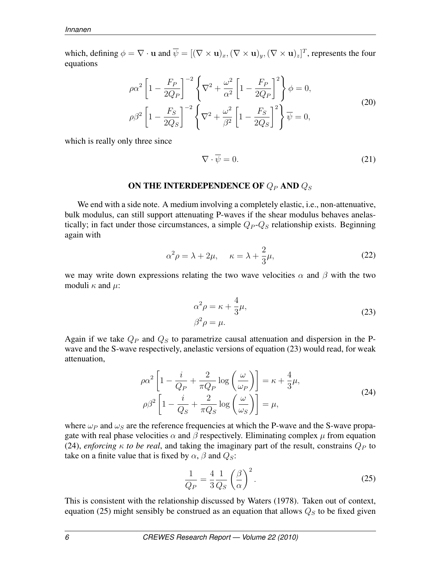which, defining  $\phi = \nabla \cdot \mathbf{u}$  and  $\overline{\psi} = [(\nabla \times \mathbf{u})_x, (\nabla \times \mathbf{u})_y, (\nabla \times \mathbf{u})_z]^T$ , represents the four equations

$$
\rho \alpha^2 \left[ 1 - \frac{F_P}{2Q_P} \right]^{-2} \left\{ \nabla^2 + \frac{\omega^2}{\alpha^2} \left[ 1 - \frac{F_P}{2Q_P} \right]^2 \right\} \phi = 0,
$$
\n
$$
\rho \beta^2 \left[ 1 - \frac{F_S}{2Q_S} \right]^{-2} \left\{ \nabla^2 + \frac{\omega^2}{\beta^2} \left[ 1 - \frac{F_S}{2Q_S} \right]^2 \right\} \overline{\psi} = 0,
$$
\n(20)

which is really only three since

$$
\nabla \cdot \overline{\psi} = 0. \tag{21}
$$

#### ON THE INTERDEPENDENCE OF  $Q_P$  AND  $Q_S$

We end with a side note. A medium involving a completely elastic, *i.e.*, non-attenuative, bulk modulus, can still support attenuating P-waves if the shear modulus behaves anelastically; in fact under those circumstances, a simple  $Q_P - Q_S$  relationship exists. Beginning again with

$$
\alpha^2 \rho = \lambda + 2\mu, \quad \kappa = \lambda + \frac{2}{3}\mu,
$$
\n(22)

we may write down expressions relating the two wave velocities  $\alpha$  and  $\beta$  with the two moduli  $\kappa$  and  $\mu$ :

$$
\alpha^2 \rho = \kappa + \frac{4}{3}\mu,
$$
  

$$
\beta^2 \rho = \mu.
$$
 (23)

Again if we take  $Q_P$  and  $Q_S$  to parametrize causal attenuation and dispersion in the Pwave and the S-wave respectively, anelastic versions of equation (23) would read, for weak attenuation,

$$
\rho \alpha^2 \left[ 1 - \frac{i}{Q_P} + \frac{2}{\pi Q_P} \log \left( \frac{\omega}{\omega_P} \right) \right] = \kappa + \frac{4}{3} \mu,
$$
  

$$
\rho \beta^2 \left[ 1 - \frac{i}{Q_S} + \frac{2}{\pi Q_S} \log \left( \frac{\omega}{\omega_S} \right) \right] = \mu,
$$
 (24)

where  $\omega_P$  and  $\omega_S$  are the reference frequencies at which the P-wave and the S-wave propagate with real phase velocities  $\alpha$  and  $\beta$  respectively. Eliminating complex  $\mu$  from equation (24), *enforcing*  $\kappa$  *to be real*, and taking the imaginary part of the result, constrains  $Q_P$  to take on a finite value that is fixed by  $\alpha$ ,  $\beta$  and  $Q_S$ :

$$
\frac{1}{Q_P} = \frac{4}{3} \frac{1}{Q_S} \left(\frac{\beta}{\alpha}\right)^2.
$$
 (25)

This is consistent with the relationship discussed by Waters (1978). Taken out of context, equation (25) might sensibly be construed as an equation that allows  $Q<sub>S</sub>$  to be fixed given